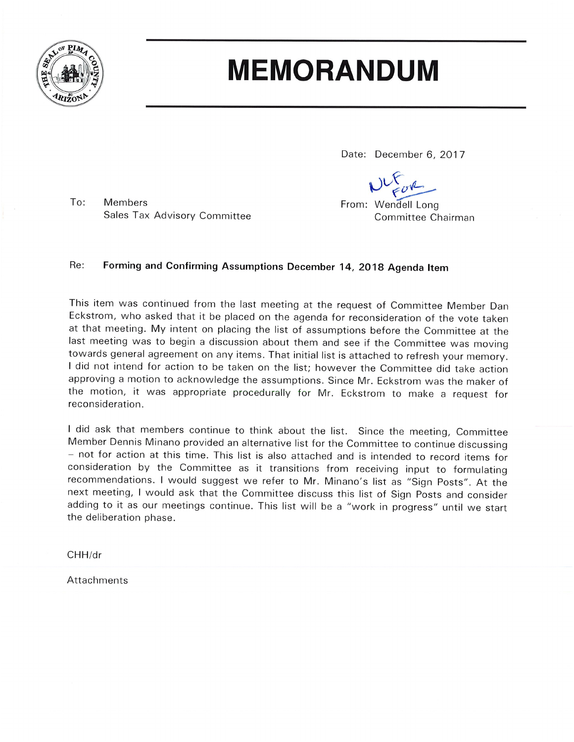

### **MEMORANDUM**

Date: December 6, 2017

From: Wendell Long Committee Chairman

To: **Members** Sales Tax Advisory Committee

### Re: Forming and Confirming Assumptions December 14, 2018 Agenda Item

This item was continued from the last meeting at the request of Committee Member Dan Eckstrom, who asked that it be placed on the agenda for reconsideration of the vote taken at that meeting. My intent on placing the list of assumptions before the Committee at the last meeting was to begin a discussion about them and see if the Committee was moving towards general agreement on any items. That initial list is attached to refresh your memory. I did not intend for action to be taken on the list; however the Committee did take action approving a motion to acknowledge the assumptions. Since Mr. Eckstrom was the maker of the motion, it was appropriate procedurally for Mr. Eckstrom to make a request for reconsideration.

I did ask that members continue to think about the list. Since the meeting, Committee Member Dennis Minano provided an alternative list for the Committee to continue discussing - not for action at this time. This list is also attached and is intended to record items for consideration by the Committee as it transitions from receiving input to formulating recommendations. I would suggest we refer to Mr. Minano's list as "Sign Posts". At the next meeting, I would ask that the Committee discuss this list of Sign Posts and consider adding to it as our meetings continue. This list will be a "work in progress" until we start the deliberation phase.

 $CHH/dr$ 

Attachments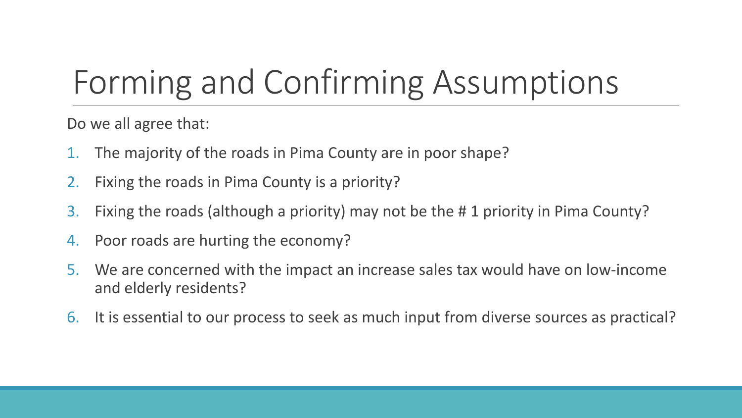## Forming and Confirming Assumptions

Do we all agree that:

- 1. The majority of the roads in Pima County are in poor shape?
- 2. Fixing the roads in Pima County is a priority?
- 3. Fixing the roads (although a priority) may not be the # 1 priority in Pima County?
- 4. Poor roads are hurting the economy?
- 5. We are concerned with the impact an increase sales tax would have on low-income and elderly residents?
- 6. It is essential to our process to seek as much input from diverse sources as practical?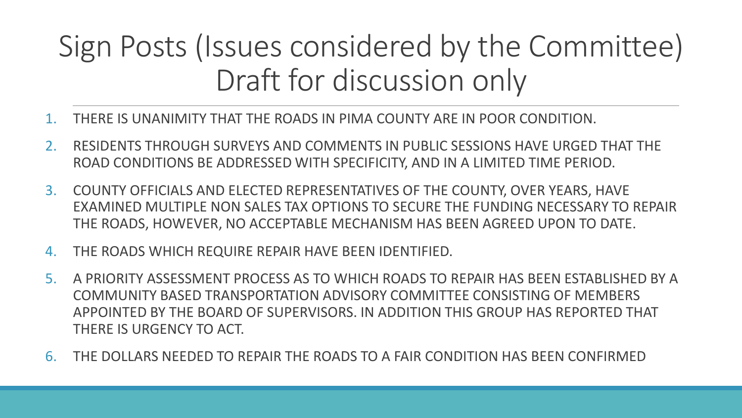## Sign Posts (Issues considered by the Committee) Draft for discussion only

- 1. THERE IS UNANIMITY THAT THE ROADS IN PIMA COUNTY ARE IN POOR CONDITION.
- 2. RESIDENTS THROUGH SURVEYS AND COMMENTS IN PUBLIC SESSIONS HAVE URGED THAT THE ROAD CONDITIONS BE ADDRESSED WITH SPECIFICITY, AND IN A LIMITED TIME PERIOD.
- 3. COUNTY OFFICIALS AND ELECTED REPRESENTATIVES OF THE COUNTY, OVER YEARS, HAVE EXAMINED MULTIPLE NON SALES TAX OPTIONS TO SECURE THE FUNDING NECESSARY TO REPAIR THE ROADS, HOWEVER, NO ACCEPTABLE MECHANISM HAS BEEN AGREED UPON TO DATE.
- 4. THE ROADS WHICH REQUIRE REPAIR HAVE BEEN IDENTIFIED.
- 5. A PRIORITY ASSESSMENT PROCESS AS TO WHICH ROADS TO REPAIR HAS BEEN ESTABLISHED BY A COMMUNITY BASED TRANSPORTATION ADVISORY COMMITTEE CONSISTING OF MEMBERS APPOINTED BY THE BOARD OF SUPERVISORS. IN ADDITION THIS GROUP HAS REPORTED THAT THERE IS URGENCY TO ACT.
- 6. THE DOLLARS NEEDED TO REPAIR THE ROADS TO A FAIR CONDITION HAS BEEN CONFIRMED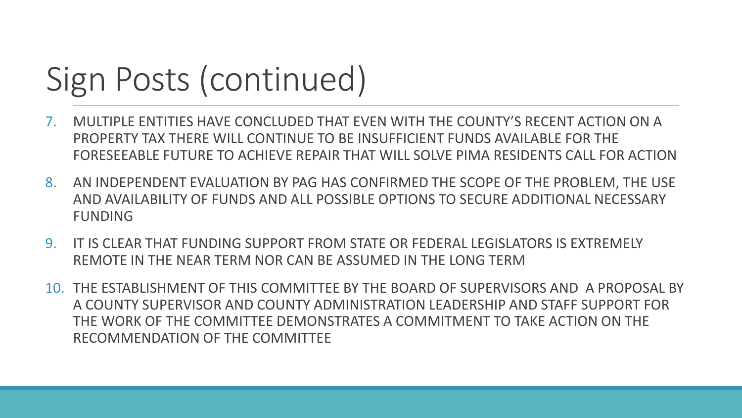# Sign Posts (continued)

- 7. MULTIPLE ENTITIES HAVE CONCLUDED THAT EVEN WITH THE COUNTY'S RECENT ACTION ON A PROPERTY TAX THERE WILL CONTINUE TO BE INSUFFICIENT FUNDS AVAILABLE FOR THE FORESEEABLE FUTURE TO ACHIEVE REPAIR THAT WILL SOLVE PIMA RESIDENTS CALL FOR ACTION
- 8. AN INDEPENDENT EVALUATION BY PAG HAS CONFIRMED THE SCOPE OF THE PROBLEM, THE USE AND AVAILABILITY OF FUNDS AND ALL POSSIBLE OPTIONS TO SECURE ADDITIONAL NECESSARY FUNDING
- 9. IT IS CLEAR THAT FUNDING SUPPORT FROM STATE OR FEDERAL LEGISLATORS IS EXTREMELY REMOTE IN THE NEAR TERM NOR CAN BE ASSUMED IN THE LONG TERM
- 10. THE ESTABLISHMENT OF THIS COMMITTEE BY THE BOARD OF SUPERVISORS AND A PROPOSAL BY A COUNTY SUPERVISOR AND COUNTY ADMINISTRATION LEADERSHIP AND STAFF SUPPORT FOR THE WORK OF THE COMMITTEE DEMONSTRATES A COMMITMENT TO TAKE ACTION ON THE RECOMMENDATION OF THE COMMITTEE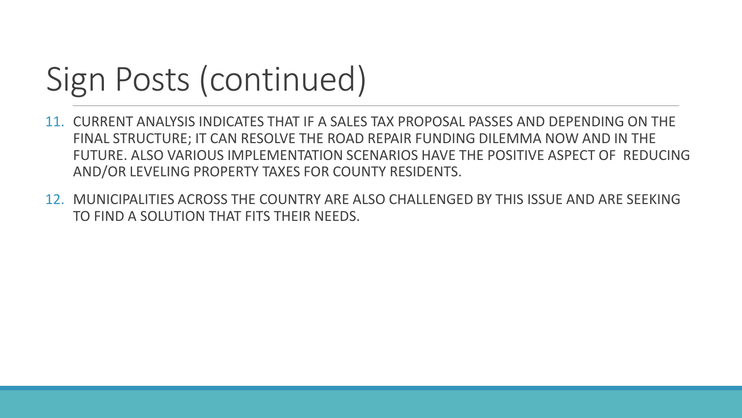## Sign Posts (continued)

- 11. CURRENT ANALYSIS INDICATES THAT IF A SALES TAX PROPOSAL PASSES AND DEPENDING ON THE FINAL STRUCTURE; IT CAN RESOLVE THE ROAD REPAIR FUNDING DILEMMA NOW AND IN THE FUTURE. ALSO VARIOUS IMPLEMENTATION SCENARIOS HAVE THE POSITIVE ASPECT OF REDUCING AND/OR LEVELING PROPERTY TAXES FOR COUNTY RESIDENTS.
- 12. MUNICIPALITIES ACROSS THE COUNTRY ARE ALSO CHALLENGED BY THIS ISSUE AND ARE SEEKING TO FIND A SOLUTION THAT FITS THEIR NEEDS.